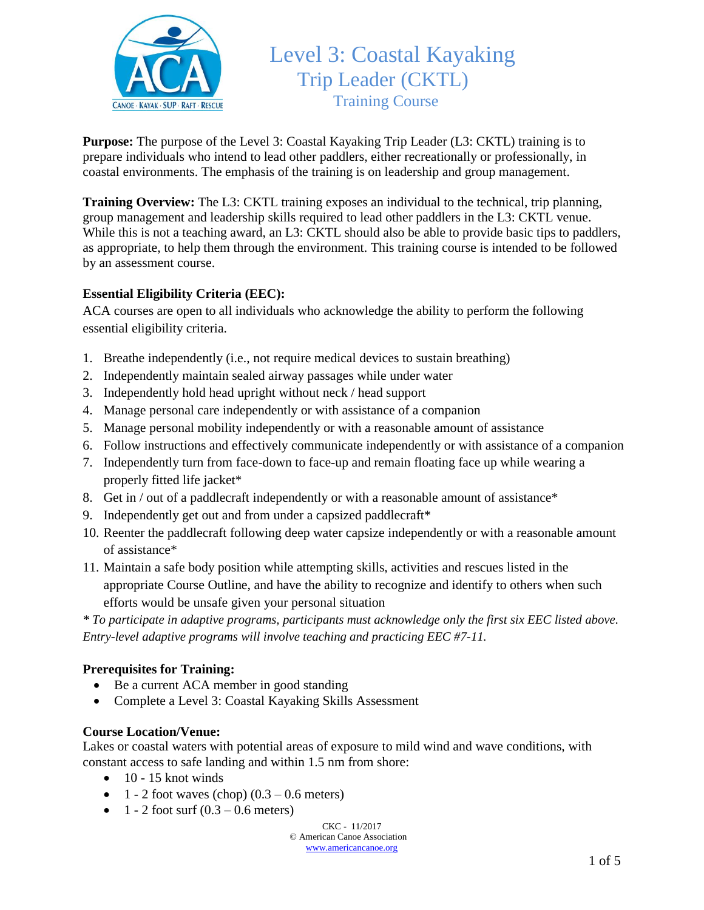

# Level 3: Coastal Kayaking Trip Leader (CKTL) Training Course

**Purpose:** The purpose of the Level 3: Coastal Kayaking Trip Leader (L3: CKTL) training is to prepare individuals who intend to lead other paddlers, either recreationally or professionally, in coastal environments. The emphasis of the training is on leadership and group management.

**Training Overview:** The L3: CKTL training exposes an individual to the technical, trip planning, group management and leadership skills required to lead other paddlers in the L3: CKTL venue. While this is not a teaching award, an L3: CKTL should also be able to provide basic tips to paddlers, as appropriate, to help them through the environment. This training course is intended to be followed by an assessment course.

## **Essential Eligibility Criteria (EEC):**

ACA courses are open to all individuals who acknowledge the ability to perform the following essential eligibility criteria.

- 1. Breathe independently (i.e., not require medical devices to sustain breathing)
- 2. Independently maintain sealed airway passages while under water
- 3. Independently hold head upright without neck / head support
- 4. Manage personal care independently or with assistance of a companion
- 5. Manage personal mobility independently or with a reasonable amount of assistance
- 6. Follow instructions and effectively communicate independently or with assistance of a companion
- 7. Independently turn from face-down to face-up and remain floating face up while wearing a properly fitted life jacket\*
- 8. Get in / out of a paddlecraft independently or with a reasonable amount of assistance\*
- 9. Independently get out and from under a capsized paddlecraft\*
- 10. Reenter the paddlecraft following deep water capsize independently or with a reasonable amount of assistance\*
- 11. Maintain a safe body position while attempting skills, activities and rescues listed in the appropriate Course Outline, and have the ability to recognize and identify to others when such efforts would be unsafe given your personal situation

*\* To participate in adaptive programs, participants must acknowledge only the first six EEC listed above. Entry-level adaptive programs will involve teaching and practicing EEC #7-11.*

## **Prerequisites for Training:**

- Be a current ACA member in good standing
- Complete a Level 3: Coastal Kayaking Skills Assessment

#### **Course Location/Venue:**

Lakes or coastal waters with potential areas of exposure to mild wind and wave conditions, with constant access to safe landing and within 1.5 nm from shore:

- $\bullet$  10 15 knot winds
- $\bullet$  1 2 foot waves (chop) (0.3 0.6 meters)
- $1 2$  foot surf  $(0.3 0.6$  meters)

CKC - 11/2017

© American Canoe Association [www.americancanoe.org](http://www.americancanoe.org/)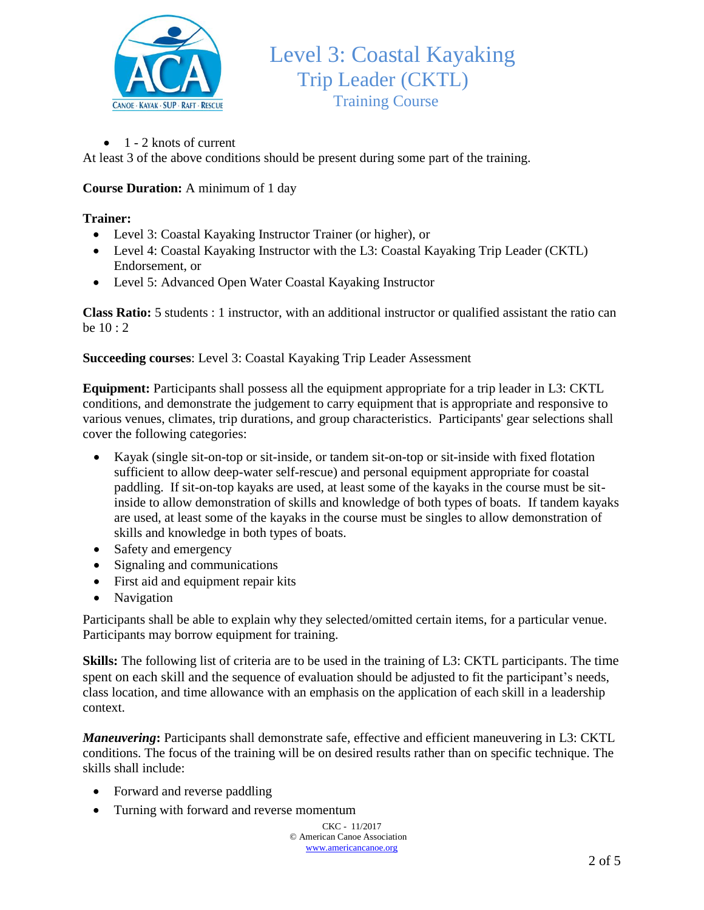

 $\bullet$  1 - 2 knots of current

At least 3 of the above conditions should be present during some part of the training.

# **Course Duration:** A minimum of 1 day

### **Trainer:**

- Level 3: Coastal Kayaking Instructor Trainer (or higher), or
- Level 4: Coastal Kayaking Instructor with the L3: Coastal Kayaking Trip Leader (CKTL) Endorsement, or
- Level 5: Advanced Open Water Coastal Kayaking Instructor

**Class Ratio:** 5 students : 1 instructor, with an additional instructor or qualified assistant the ratio can be  $10:2$ 

**Succeeding courses**: Level 3: Coastal Kayaking Trip Leader Assessment

**Equipment:** Participants shall possess all the equipment appropriate for a trip leader in L3: CKTL conditions, and demonstrate the judgement to carry equipment that is appropriate and responsive to various venues, climates, trip durations, and group characteristics. Participants' gear selections shall cover the following categories:

- Kayak (single sit-on-top or sit-inside, or tandem sit-on-top or sit-inside with fixed flotation sufficient to allow deep-water self-rescue) and personal equipment appropriate for coastal paddling. If sit-on-top kayaks are used, at least some of the kayaks in the course must be sitinside to allow demonstration of skills and knowledge of both types of boats. If tandem kayaks are used, at least some of the kayaks in the course must be singles to allow demonstration of skills and knowledge in both types of boats.
- Safety and emergency
- Signaling and communications
- First aid and equipment repair kits
- Navigation

Participants shall be able to explain why they selected/omitted certain items, for a particular venue. Participants may borrow equipment for training.

**Skills:** The following list of criteria are to be used in the training of L3: CKTL participants. The time spent on each skill and the sequence of evaluation should be adjusted to fit the participant's needs, class location, and time allowance with an emphasis on the application of each skill in a leadership context.

*Maneuvering***:** Participants shall demonstrate safe, effective and efficient maneuvering in L3: CKTL conditions. The focus of the training will be on desired results rather than on specific technique. The skills shall include:

- Forward and reverse paddling
- Turning with forward and reverse momentum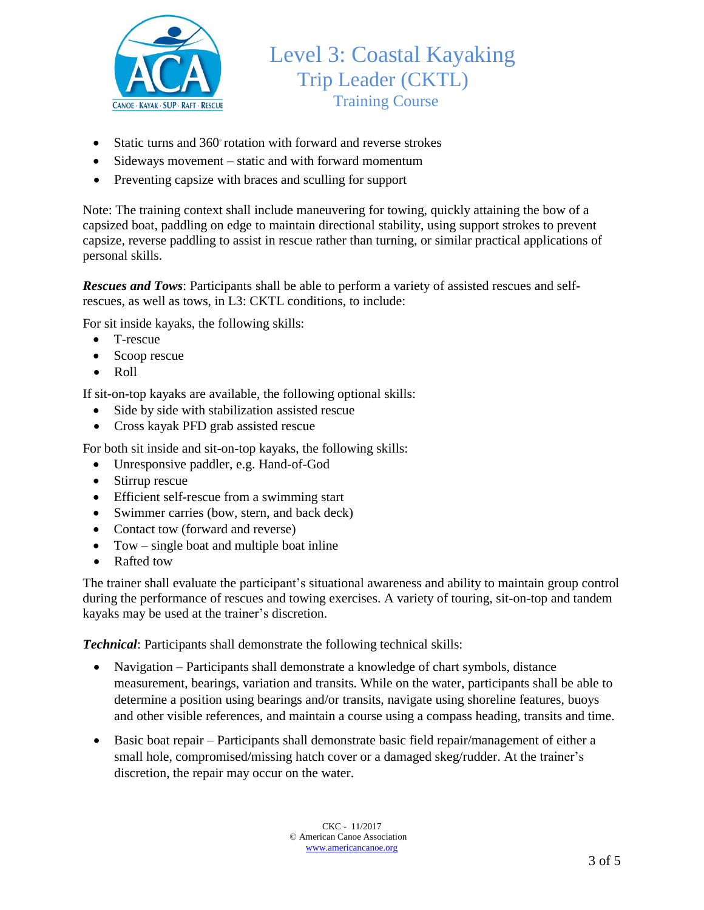

- Static turns and 360° rotation with forward and reverse strokes
- Sideways movement static and with forward momentum
- Preventing capsize with braces and sculling for support

Note: The training context shall include maneuvering for towing, quickly attaining the bow of a capsized boat, paddling on edge to maintain directional stability, using support strokes to prevent capsize, reverse paddling to assist in rescue rather than turning, or similar practical applications of personal skills.

*Rescues and Tows*: Participants shall be able to perform a variety of assisted rescues and selfrescues, as well as tows, in L3: CKTL conditions, to include:

For sit inside kayaks, the following skills:

- T-rescue
- Scoop rescue
- Roll

If sit-on-top kayaks are available, the following optional skills:

- Side by side with stabilization assisted rescue
- Cross kayak PFD grab assisted rescue

For both sit inside and sit-on-top kayaks, the following skills:

- Unresponsive paddler, e.g. Hand-of-God
- Stirrup rescue
- Efficient self-rescue from a swimming start
- Swimmer carries (bow, stern, and back deck)
- Contact tow (forward and reverse)
- Tow single boat and multiple boat inline
- Rafted tow

The trainer shall evaluate the participant's situational awareness and ability to maintain group control during the performance of rescues and towing exercises. A variety of touring, sit-on-top and tandem kayaks may be used at the trainer's discretion.

*Technical*: Participants shall demonstrate the following technical skills:

- Navigation Participants shall demonstrate a knowledge of chart symbols, distance measurement, bearings, variation and transits. While on the water, participants shall be able to determine a position using bearings and/or transits, navigate using shoreline features, buoys and other visible references, and maintain a course using a compass heading, transits and time.
- Basic boat repair Participants shall demonstrate basic field repair/management of either a small hole, compromised/missing hatch cover or a damaged skeg/rudder. At the trainer's discretion, the repair may occur on the water.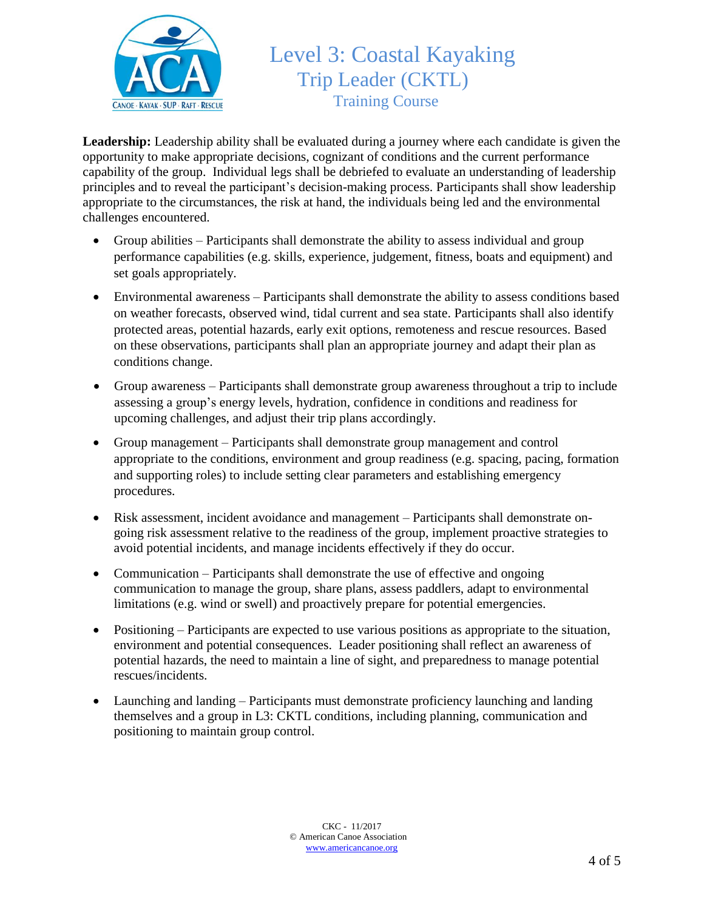

# Level 3: Coastal Kayaking Trip Leader (CKTL) Training Course

**Leadership:** Leadership ability shall be evaluated during a journey where each candidate is given the opportunity to make appropriate decisions, cognizant of conditions and the current performance capability of the group. Individual legs shall be debriefed to evaluate an understanding of leadership principles and to reveal the participant's decision-making process. Participants shall show leadership appropriate to the circumstances, the risk at hand, the individuals being led and the environmental challenges encountered.

- Group abilities Participants shall demonstrate the ability to assess individual and group performance capabilities (e.g. skills, experience, judgement, fitness, boats and equipment) and set goals appropriately.
- Environmental awareness Participants shall demonstrate the ability to assess conditions based on weather forecasts, observed wind, tidal current and sea state. Participants shall also identify protected areas, potential hazards, early exit options, remoteness and rescue resources. Based on these observations, participants shall plan an appropriate journey and adapt their plan as conditions change.
- Group awareness Participants shall demonstrate group awareness throughout a trip to include assessing a group's energy levels, hydration, confidence in conditions and readiness for upcoming challenges, and adjust their trip plans accordingly.
- Group management Participants shall demonstrate group management and control appropriate to the conditions, environment and group readiness (e.g. spacing, pacing, formation and supporting roles) to include setting clear parameters and establishing emergency procedures.
- Risk assessment, incident avoidance and management Participants shall demonstrate ongoing risk assessment relative to the readiness of the group, implement proactive strategies to avoid potential incidents, and manage incidents effectively if they do occur.
- Communication Participants shall demonstrate the use of effective and ongoing communication to manage the group, share plans, assess paddlers, adapt to environmental limitations (e.g. wind or swell) and proactively prepare for potential emergencies.
- Positioning Participants are expected to use various positions as appropriate to the situation, environment and potential consequences. Leader positioning shall reflect an awareness of potential hazards, the need to maintain a line of sight, and preparedness to manage potential rescues/incidents.
- Launching and landing Participants must demonstrate proficiency launching and landing themselves and a group in L3: CKTL conditions, including planning, communication and positioning to maintain group control.